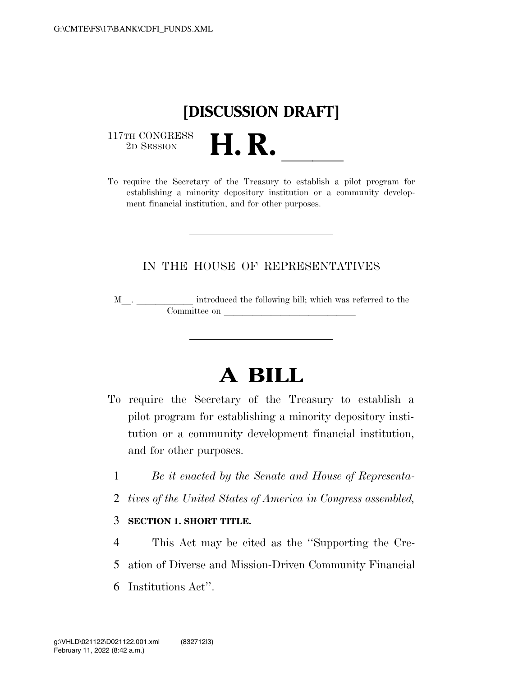

 $\begin{array}{c} \textbf{117TH CONGRESS} \\ \textbf{2D} \textbf{Session} \end{array}$ 

117TH CONGRESS<br>
2D SESSION<br>
To require the Secretary of the Treasury to establish a pilot program for establishing a minority depository institution or a community development financial institution, and for other purposes.

## IN THE HOUSE OF REPRESENTATIVES

M<sub>\_\_\_</sub>. \_\_\_\_\_\_\_\_\_\_\_\_\_ introduced the following bill; which was referred to the Committee on later and later than  $\sim$ 

## **A BILL**

- To require the Secretary of the Treasury to establish a pilot program for establishing a minority depository institution or a community development financial institution, and for other purposes.
	- 1 *Be it enacted by the Senate and House of Representa-*
	- 2 *tives of the United States of America in Congress assembled,*

## 3 **SECTION 1. SHORT TITLE.**

4 This Act may be cited as the ''Supporting the Cre-5 ation of Diverse and Mission-Driven Community Financial 6 Institutions Act''.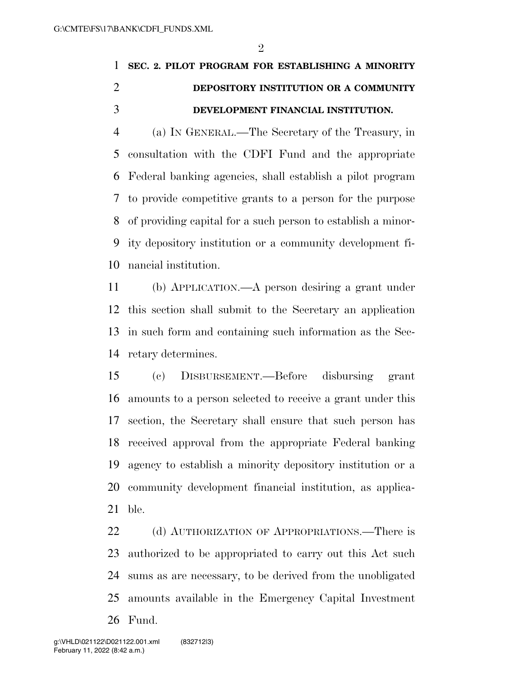## **SEC. 2. PILOT PROGRAM FOR ESTABLISHING A MINORITY DEPOSITORY INSTITUTION OR A COMMUNITY DEVELOPMENT FINANCIAL INSTITUTION.**

 (a) IN GENERAL.—The Secretary of the Treasury, in consultation with the CDFI Fund and the appropriate Federal banking agencies, shall establish a pilot program to provide competitive grants to a person for the purpose of providing capital for a such person to establish a minor- ity depository institution or a community development fi-nancial institution.

 (b) APPLICATION.—A person desiring a grant under this section shall submit to the Secretary an application in such form and containing such information as the Sec-retary determines.

 (c) DISBURSEMENT.—Before disbursing grant amounts to a person selected to receive a grant under this section, the Secretary shall ensure that such person has received approval from the appropriate Federal banking agency to establish a minority depository institution or a community development financial institution, as applica-ble.

22 (d) AUTHORIZATION OF APPROPRIATIONS.—There is authorized to be appropriated to carry out this Act such sums as are necessary, to be derived from the unobligated amounts available in the Emergency Capital Investment Fund.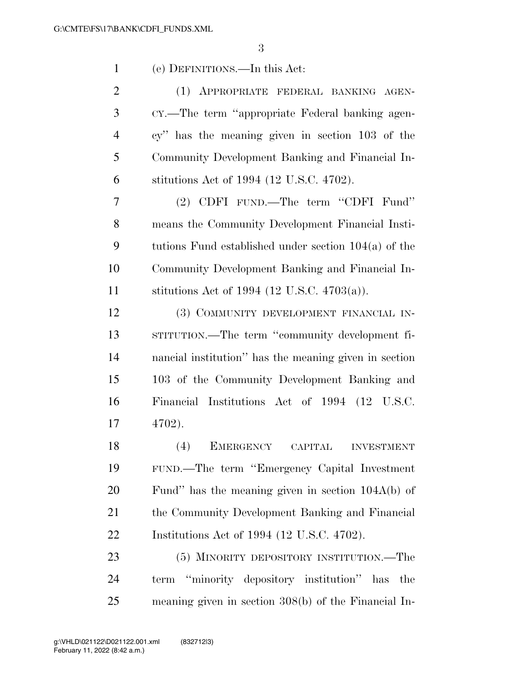| $\mathbf{1}$   | (e) DEFINITIONS.—In this Act:                          |
|----------------|--------------------------------------------------------|
| $\overline{2}$ | (1) APPROPRIATE FEDERAL BANKING AGEN-                  |
| 3              | CY.—The term "appropriate Federal banking agen-        |
| $\overline{4}$ | cy" has the meaning given in section 103 of the        |
| 5              | Community Development Banking and Financial In-        |
| 6              | stitutions Act of 1994 (12 U.S.C. 4702).               |
| 7              | (2) CDFI FUND.—The term "CDFI Fund"                    |
| 8              | means the Community Development Financial Insti-       |
| 9              | tutions Fund established under section $104(a)$ of the |
| 10             | Community Development Banking and Financial In-        |
| 11             | stitutions Act of 1994 (12 U.S.C. 4703(a)).            |
| 12             | (3) COMMUNITY DEVELOPMENT FINANCIAL IN-                |
| 13             | STITUTION.—The term "community development fi-         |
| 14             | nancial institution" has the meaning given in section  |
| 15             | 103 of the Community Development Banking and           |
| 16             | Financial Institutions Act of 1994 (12 U.S.C.          |
| 17             | 4702).                                                 |
| 18             | (4)<br>EMERGENCY CAPITAL INVESTMENT                    |
| 19             | FUND.—The term "Emergency Capital Investment"          |
| 20             | Fund" has the meaning given in section $104A(b)$ of    |
| 21             | the Community Development Banking and Financial        |
| 22             | Institutions Act of 1994 (12 U.S.C. 4702).             |
| 23             | (5) MINORITY DEPOSITORY INSTITUTION.—The               |
| 24             | term "minority depository institution" has the         |
| 25             | meaning given in section 308(b) of the Financial In-   |